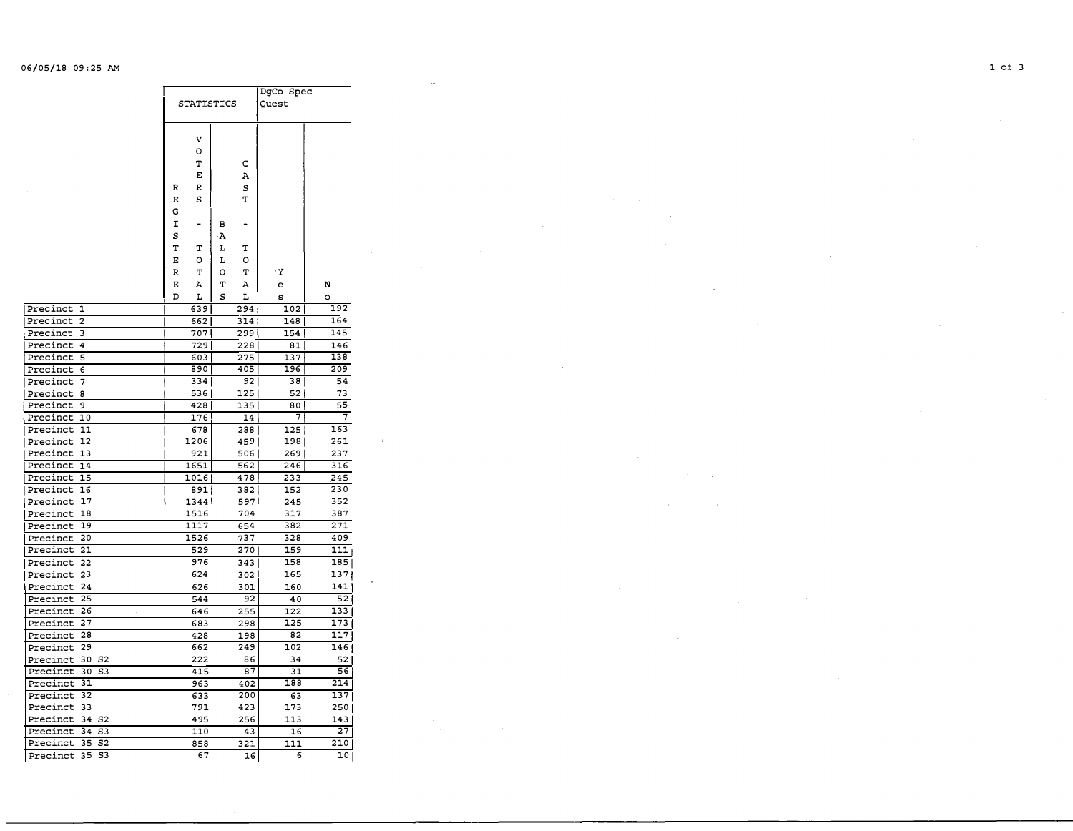## 06/05/18 09:25 AM **1 of 3**

|                                  | <b>STATISTICS</b> |        |        |          | DgCo Spec<br>Quest |                 |  |
|----------------------------------|-------------------|--------|--------|----------|--------------------|-----------------|--|
|                                  |                   | v<br>о |        |          |                    |                 |  |
|                                  |                   | т<br>E |        | с<br>A   |                    |                 |  |
|                                  |                   |        |        |          |                    |                 |  |
|                                  | R                 | R      |        | s        |                    |                 |  |
|                                  | Е                 | s      |        | т        |                    |                 |  |
|                                  | G                 |        |        |          |                    |                 |  |
|                                  | I                 |        | в      |          |                    |                 |  |
|                                  | s                 |        | Α      |          |                    |                 |  |
|                                  | Т                 | т      | r      | т        |                    |                 |  |
|                                  | Е                 | о      | L      | о        |                    |                 |  |
|                                  | R                 | т      | O      | т        | 'Y                 |                 |  |
|                                  | Е<br>D            | А<br>r | Т<br>s | А        | е                  | N               |  |
| Precinct<br>1                    |                   | 639    |        | L<br>294 | s<br>102           | $\circ$<br>192  |  |
| Precinct<br>$\overline{c}$       |                   | 662    |        | 314      | 148                | 164             |  |
| Precinct<br>3                    |                   | 707    |        | 299      | 154                | 145             |  |
| Precinct<br>4                    |                   | 729    |        | 228      | 81                 | 146             |  |
| Precinct<br>5                    |                   | 603    |        | 275      | 137                | 138             |  |
| Precinct<br>6                    |                   | 890    |        | 405      | 196                | 209             |  |
| Precinct<br>7                    |                   | 334    |        | 92       | 38                 | 54              |  |
| Precinct<br>8                    |                   | 536    |        | 125      | 52                 | 73              |  |
| Precinct<br>9                    |                   | 428    |        | 135      | 80                 | 55              |  |
| Precinct<br>10                   |                   | 176    |        | 14 I     | 71                 | 7               |  |
| Precinct<br>11                   |                   | 678    |        | 288      | 125                | 163             |  |
| 12<br>Precinct                   |                   | 1206   |        | 459      | 198                | 261             |  |
| Precinct<br>13                   |                   | 921    |        | 506      | 269                | 237             |  |
| Precinct<br>14                   |                   | 1651   |        | 562      | 246                | 316             |  |
| 15<br>Precinct                   |                   | 1016   |        | 478      | 233                | 245             |  |
| Precinct<br>16                   |                   | 891    |        | 382      | 152                | 230             |  |
| 17<br>Precinct                   |                   | 1344   |        | 597      | 245                | 352             |  |
| Precinct<br>18                   |                   | 1516   |        | 704      | 317                | 387             |  |
| 19<br>Precinct                   |                   | 1117   |        | 654      | 382                | 271             |  |
| Precinct<br>20                   |                   | 1526   |        | 737      | 328                | 409             |  |
| Precinct<br>21                   |                   | 529    |        | 270      | 159                | 111             |  |
| Precinct<br>22                   |                   | 976    |        | 343      | 158                | 185             |  |
| Precinct<br>23                   |                   | 624    |        | 302      | 165                | 137             |  |
| 24<br>Precinct                   |                   | 626    |        | 301      | 160                | 141             |  |
| Precinct<br>25                   |                   | 544    |        | 92       | 40                 | 521             |  |
| Precinct<br>26                   |                   | 646    |        | 255      | 122                | 133             |  |
| 27<br>Precinct                   |                   | 683    |        | 298      | 125                | 173             |  |
| 28<br>Precinct                   |                   | 428    |        | 198      | 82                 | 117             |  |
| 29<br>Precinct                   |                   | 662    |        | 249      | 102                | 146             |  |
| 30<br>S <sub>2</sub><br>Precinct |                   | 222    |        | 86       | 34                 | 52              |  |
| 30<br>S <sub>3</sub><br>Precinct |                   | 415    |        | 87       | 31                 | 56              |  |
| 31<br>Precinct                   |                   | 963    |        | 402      | 188                | 214             |  |
| 32<br>Precinct                   |                   | 633    |        | 200      | 63                 | 137             |  |
| 33<br>Precinct                   |                   | 791    |        | 423      | 173                | 250             |  |
| S <sub>2</sub><br>Precinct<br>34 |                   | 495    |        | 256      | 113                | 143             |  |
| Precinct<br>34<br>S3             |                   | 110    |        | 43       | 16                 | 27              |  |
| 35<br>Precinct<br>S2             |                   | 858    |        | 321      | 111                | 210             |  |
| Precinct<br>35<br>S3             |                   | 67     |        | 16       | 6                  | 10 <sub>1</sub> |  |

 $\epsilon$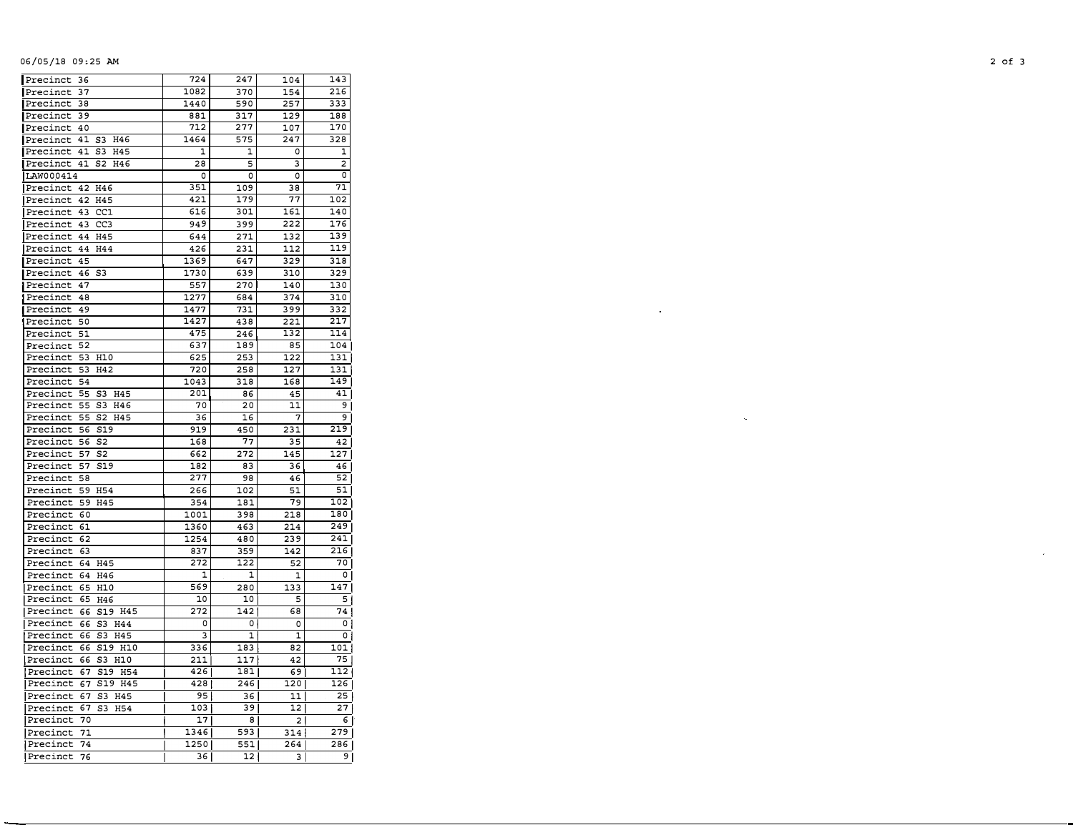## 06/05/18 09:25 AM /05/18 09,25 AM **2 of 3**

| Precinct<br>36                      | 724      | 247 | 104 | 143              |
|-------------------------------------|----------|-----|-----|------------------|
| 37<br>Precinct                      | 1082     | 370 | 154 | 216              |
| 38<br>Precinct                      | 1440     | 590 | 257 | 333              |
| Precinct<br>39                      | 881      | 317 | 129 | 188              |
| 40<br>Precinct                      | 712      | 277 | 107 | 170              |
| 41<br>S3<br>H46<br>Precinct         | 1464     | 575 | 247 | 328              |
| Precinct<br>41<br>S3<br>H45         | 1        | 1   | 0   | 1                |
| Precinct<br>41<br>S2<br>H46         | 28       | 5   | 3   | 2                |
| LAW000414                           | $\Omega$ | O   | O   | 0                |
| Precinct<br>42<br>H46               | 351      | 109 | 38  | 71               |
| Precinct<br>42<br>H45               | 421      | 179 | 77  | 102              |
| CC1<br>43<br>Precinct               | 616      | 301 | 161 | 140              |
| Precinct<br>43<br>CC <sub>3</sub>   | 949      | 399 | 222 | 176              |
| Precinct<br>44<br>H45               | 644      | 271 | 132 | 139              |
| H44<br>Precinct<br>44               | 426      | 231 | 112 | 119              |
| Precinct<br>45                      | 1369     | 647 | 329 | 318              |
| Precinct<br>46<br>S3                | 1730     | 639 | 310 | 329              |
| 47<br>Precinct                      | 557      | 270 | 140 | 130              |
| 48<br>Precinct                      | 1277     | 684 | 374 | 310              |
| 49<br>Precinct                      | 1477     | 731 | 399 | 332              |
| 50<br>Precinct                      | 1427     | 438 | 221 | 217              |
| Precinct<br>51                      | 475      | 246 | 132 | 114              |
| Precinct<br>52                      | 637      | 189 | 85  | 104              |
| Precinct<br>53<br>H10               | 625      | 253 | 122 | 131              |
| Precinct<br>53<br>H42               | 720      | 258 | 127 | 131              |
| Precinct<br>54                      | 1043     | 318 | 168 | 149              |
| Precinct<br>55<br>S3<br>H45         | 201      | 86  | 45  | 41               |
| 55<br>Precinct<br>S3<br>H46         | 70       | 20  | 11  | 9                |
| Precinct<br>55<br>S2<br>H45         | 36       | 16  | 7   | 9 <sup>1</sup>   |
| Precinct<br>56<br>S19               | 919      | 450 | 231 | 219              |
| Precinct<br>56<br>S2                | 168      | 77  | 35  | 42               |
| Precinct<br>57<br>S <sub>2</sub>    | 662      | 272 | 145 | 127              |
| S <sub>19</sub><br>Precinct<br>57   | 182      | 83  | 36  | 46               |
| Precinct<br>58                      | 277      | 98  | 46  | 52               |
| Precinct<br><b>H54</b><br>59        | 266      | 102 | 51  | 51               |
| Precinct<br>59<br>H45               | 354      | 181 | 79  | $\overline{1}02$ |
| Precinct<br>60                      | 1001     | 398 | 218 | 180              |
| Precinct<br>61                      | 1360     | 463 | 214 | 249              |
| Precinct<br>62                      | 1254     | 480 | 239 | 241              |
| Precinct<br>63                      | 837      | 359 | 142 | 216              |
| H45<br>Precinct<br>64               | 272      | 122 | 52  | 70               |
| Precinct<br>64<br>H46               | 1        | 1   | 1   | 0                |
| Precinct<br>65<br>H10               | 569      | 280 | 133 | 147              |
| 65<br>H46<br>Precinct               | 10       | 10  | 5   | 5                |
| 66<br>S19 H45<br>Precinct           | 272      | 142 | 68  | 74               |
| 66<br>Precinct<br>S3<br>H44         | 0        | 0   | 0   | 0                |
| Precinct<br>66<br>S3<br>H45         | 3        | 1   | 1   | 0                |
| Precinct<br>66<br>S19<br>H10        | 336      | 183 | 82  | 101              |
| 66<br>S3<br>H10<br>Precinct         | 211      | 117 | 42  | 75               |
| 67<br>S19<br><b>H54</b><br>Precinct | 426      | 181 | 69  | 112              |
| S19 H45<br>Precinct<br>67           | 428      | 246 | 120 | 126              |
| 67<br>Precinct<br>S3<br>H45         | 95       | 36  | 11  | 25               |
| 67<br>Precinct<br>S3<br>H54         | 103      | 39  | 12  | 27               |
| 70<br>Precinct                      | 17       | 8   | 2   | 6                |
| Precinct<br>71                      | 1346     | 593 | 314 | 279              |
| 74<br>Precinct                      | 1250     | 551 | 264 | 286              |
| Precinct<br>76                      | 36       | 12  | 3   | ا 9              |
|                                     |          |     |     |                  |

 $\omega$ 

 $\bar{q}$